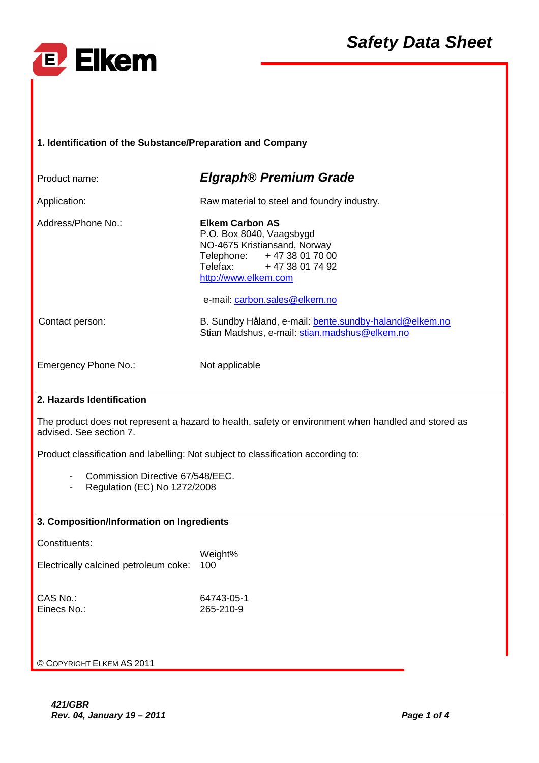

| 1.IdentificationoftheSubstance/Preparationand<br>Company                                                        |                                                                                                                                                                                                |  |  |  |
|-----------------------------------------------------------------------------------------------------------------|------------------------------------------------------------------------------------------------------------------------------------------------------------------------------------------------|--|--|--|
| Productname:                                                                                                    | <b>Elgraph®PremiumGrade</b>                                                                                                                                                                    |  |  |  |
| Application:                                                                                                    | Rawmaterialtosteelandfoundry<br>industry.                                                                                                                                                      |  |  |  |
| Address/PhoneNo.:                                                                                               | <b>ElkemCarbonAS</b><br>P.O.Box8040, Vaagsbygd<br>NO-4675Kristiansand, Norway<br>Telephone:<br>+4738017000<br>Telefax:<br>+4738017492<br>http://www.elkem.com<br>e-mail: carbon.sales@elkem.no |  |  |  |
| Contactperson:                                                                                                  | B.SundbyHåland,e-mail:<br>bente.sundby-haland@elkem.no<br>stian.madshus@elkem.no<br>StianMadshus, e-mail:                                                                                      |  |  |  |
| EmergencyPhoneNo.:                                                                                              | Notapplicable                                                                                                                                                                                  |  |  |  |
| 2.HazardsIdentification                                                                                         |                                                                                                                                                                                                |  |  |  |
| Theproductdoesnotrepresentahazardtohealth,<br>safetyorenvironmentwhenhandledandstoredas<br>advised.Seesection7. |                                                                                                                                                                                                |  |  |  |
| oclassificationaccordingto:<br>Productclassificationandlabelling:Notsubjectt                                    |                                                                                                                                                                                                |  |  |  |
| CommissionDirective67/548/EEC.<br>Regulation(EC)No1272/2008                                                     |                                                                                                                                                                                                |  |  |  |
| 3. Composition/InformationonIngredients                                                                         |                                                                                                                                                                                                |  |  |  |
| Constituents:<br>Electricallycalcinedpetroleumcoke: 100                                                         | Weight%                                                                                                                                                                                        |  |  |  |
| CASNo.:<br>EinecsNo.:                                                                                           | 64743-05-1<br>265-210-9                                                                                                                                                                        |  |  |  |
| ©C OPYRIGHT ELKEM AS 2011                                                                                       |                                                                                                                                                                                                |  |  |  |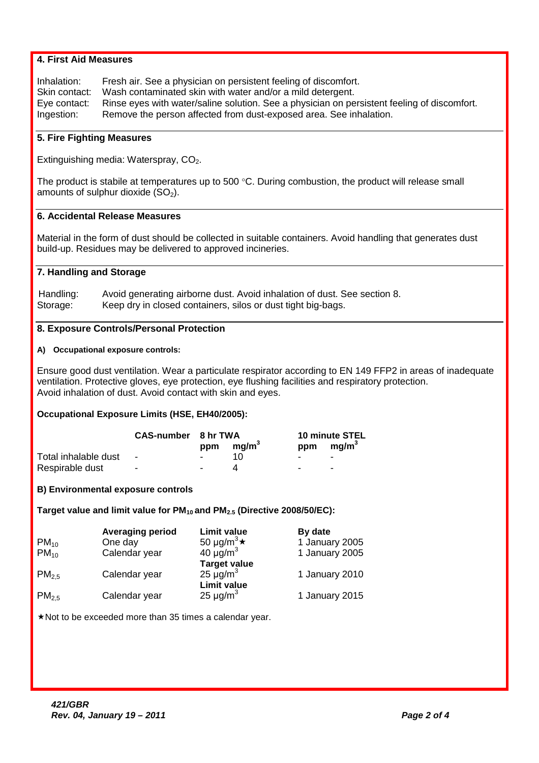|                                                                                                                                                                                                                                                                 | <b>4.FirstAidMeasures</b>                                                                                                                                                                                                                                                         |                                                           |                                  |  |  |
|-----------------------------------------------------------------------------------------------------------------------------------------------------------------------------------------------------------------------------------------------------------------|-----------------------------------------------------------------------------------------------------------------------------------------------------------------------------------------------------------------------------------------------------------------------------------|-----------------------------------------------------------|----------------------------------|--|--|
| Inhalation:<br>Skincontact:<br>Eyecontact:<br>Ingestion:                                                                                                                                                                                                        | tfeelingofdiscomfort.<br>Freshair.Seeaphysicianonpersisten<br>Washcontaminatedskinwithwaterand<br>/oramilddetergent.<br>Seeaphysicianonpersistentfeelingofdiscomfor<br>Rinseeyeswithwater/salinesolution.<br>t.<br>osedarea.Seeinhalation.<br>Removethepersonaffectedfromdust-exp |                                                           |                                  |  |  |
| 5. Fire Fighting Measures                                                                                                                                                                                                                                       |                                                                                                                                                                                                                                                                                   |                                                           |                                  |  |  |
| Extinguishingmedia: Waterspray, $CO_{2}$ .                                                                                                                                                                                                                      |                                                                                                                                                                                                                                                                                   |                                                           |                                  |  |  |
| Theproductisstabileattemperaturesupto500<br>°C.Duringcombustion, the product will release smal<br>amountsofsulphurdioxide(SO<br>$_{2}).$                                                                                                                        |                                                                                                                                                                                                                                                                                   |                                                           |                                  |  |  |
|                                                                                                                                                                                                                                                                 | 6.AccidentalReleaseMeasures                                                                                                                                                                                                                                                       |                                                           |                                  |  |  |
| Materialintheformofdustshouldbecollectedin<br>suitablecontainers.Avoidhandlingthatgenerates<br>dust<br>build-up.Residuesmaybedeliveredtoapprovedinc<br>ineries.                                                                                                 |                                                                                                                                                                                                                                                                                   |                                                           |                                  |  |  |
| 7.HandlingandStorage                                                                                                                                                                                                                                            |                                                                                                                                                                                                                                                                                   |                                                           |                                  |  |  |
| Avoidgeneratingairbornedust.Avoidinh<br>alationofdust.Seesection8.<br>Handling:<br>Keepdryinclosedcontainers, silosordu<br>Storage:<br>sttightbig-bags.                                                                                                         |                                                                                                                                                                                                                                                                                   |                                                           |                                  |  |  |
| 8.ExposureControls/PersonalProtection                                                                                                                                                                                                                           |                                                                                                                                                                                                                                                                                   |                                                           |                                  |  |  |
| A) Occupationalexposurecontrols:                                                                                                                                                                                                                                |                                                                                                                                                                                                                                                                                   |                                                           |                                  |  |  |
| spiratoraccordingtoEN149FFP2inareasofinade<br>Ensuregooddustventilation. Wearaparticulatere<br>quate<br>ventilation.Protectivegloves,eyeprotection,eye<br>flushingfacilitiesandrespiratoryprotection.<br>Avoidinhalationofdust.Avoidcontactwithskina<br>ndeyes. |                                                                                                                                                                                                                                                                                   |                                                           |                                  |  |  |
|                                                                                                                                                                                                                                                                 | OccupationalExposureLimits(HSE,EH40/2005):                                                                                                                                                                                                                                        |                                                           |                                  |  |  |
|                                                                                                                                                                                                                                                                 | <b>CAS-number 8hrTWA</b>                                                                                                                                                                                                                                                          | 3<br>mg/m<br>ppm                                          | 10minuteSTEL<br>3<br>ppm<br>mg/m |  |  |
| Totalinhalabledust<br>Respirabledust                                                                                                                                                                                                                            |                                                                                                                                                                                                                                                                                   | 10<br>4                                                   |                                  |  |  |
|                                                                                                                                                                                                                                                                 | <b>B)Environmentalexposurecontrols</b>                                                                                                                                                                                                                                            |                                                           |                                  |  |  |
|                                                                                                                                                                                                                                                                 | TargetvalueandlimitvalueforPM                                                                                                                                                                                                                                                     | $_{10}$ andPM $_{2.5}$ (Directive2008/50/EC):             |                                  |  |  |
|                                                                                                                                                                                                                                                                 | Averagingperiod                                                                                                                                                                                                                                                                   | Limitvalue                                                | <b>Bydate</b>                    |  |  |
| $PM_{10}$<br>$PM_{10}$                                                                                                                                                                                                                                          | Oneday<br>Calendaryear                                                                                                                                                                                                                                                            | 50 µg/m <sup>3</sup> $\star$<br>40 $\mu$ g/m <sup>3</sup> | 1January2005<br>1January2005     |  |  |
|                                                                                                                                                                                                                                                                 |                                                                                                                                                                                                                                                                                   | <b>Targetvalue</b>                                        |                                  |  |  |
| PM <sub>2.5</sub>                                                                                                                                                                                                                                               | Calendaryear                                                                                                                                                                                                                                                                      | $\mu$ g/m $^3$<br>25<br>Limitvalue                        | 1January2010                     |  |  |
| PM <sub>2.5</sub>                                                                                                                                                                                                                                               | Calendaryear                                                                                                                                                                                                                                                                      | $\mu$ g/m $^3$<br>25                                      | 1January2015                     |  |  |
| *Nottobeexceededmorethan35timesacalendarye<br>ar.                                                                                                                                                                                                               |                                                                                                                                                                                                                                                                                   |                                                           |                                  |  |  |
|                                                                                                                                                                                                                                                                 |                                                                                                                                                                                                                                                                                   |                                                           |                                  |  |  |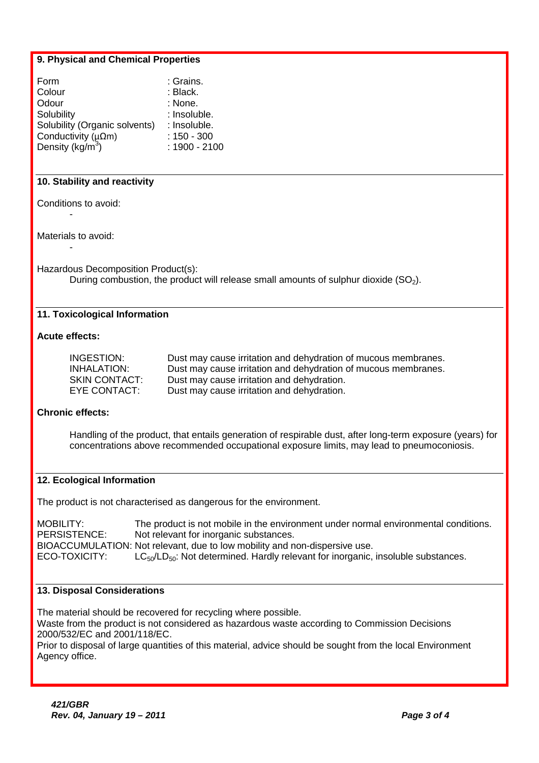## **9. Physical and Chemical Properties**

| 9. Physical and Chemical Properties                                                                                                                                                                                                                                                                                                                       |                                                                                                                                                                                                                    |  |
|-----------------------------------------------------------------------------------------------------------------------------------------------------------------------------------------------------------------------------------------------------------------------------------------------------------------------------------------------------------|--------------------------------------------------------------------------------------------------------------------------------------------------------------------------------------------------------------------|--|
| :Grains.<br>Form<br>Colour<br>:Black.<br>Odour<br>:None.<br>Solubility<br>Solubility (Organicsolvents)<br>Conductivity ( $\mu \Omega$ m)<br>Density(kg/m $3$ )                                                                                                                                                                                            | :Insoluble.<br>:Insoluble.<br>$:150-300$<br>:1900-2100                                                                                                                                                             |  |
| 10.Stabilityandreactivity                                                                                                                                                                                                                                                                                                                                 |                                                                                                                                                                                                                    |  |
| Conditionstoavoid:                                                                                                                                                                                                                                                                                                                                        |                                                                                                                                                                                                                    |  |
| Materialstoavoid:                                                                                                                                                                                                                                                                                                                                         |                                                                                                                                                                                                                    |  |
| HazardousDecompositionProduct(s):<br>Duringcombustion, the product will release small<br>amountsofsulphurdioxide(SO<br>$_{2}).$                                                                                                                                                                                                                           |                                                                                                                                                                                                                    |  |
| 11. Toxicological Information                                                                                                                                                                                                                                                                                                                             |                                                                                                                                                                                                                    |  |
| <b>Acuteeffects:</b>                                                                                                                                                                                                                                                                                                                                      |                                                                                                                                                                                                                    |  |
| INGESTION:<br><b>INHALATION:</b><br><b>SKINCONTACT:</b><br>EYECONTACT:                                                                                                                                                                                                                                                                                    | ionofmucousmembranes.<br>Dustmaycauseirritationanddehydrat<br>Dustmaycauseirritationanddehydra<br>tionofmucousmembranes.<br>Dustmaycauseirritationanddehydr<br>ation.<br>Dustmaycauseirritationanddehydra<br>tion. |  |
| <b>Chroniceffects:</b>                                                                                                                                                                                                                                                                                                                                    |                                                                                                                                                                                                                    |  |
| Handlingoftheproduct, thatentails generation of<br>respirabledust, afterlong-termexposure(years)<br>for<br>concentrationsaboverecommendedoccupationalexpos<br>urelimits, may lead to pneum oconiosis.                                                                                                                                                     |                                                                                                                                                                                                                    |  |
| 12. Ecological Information                                                                                                                                                                                                                                                                                                                                |                                                                                                                                                                                                                    |  |
| Theproductisnotcharacterisedasdangerousfort                                                                                                                                                                                                                                                                                                               | heenvironment.                                                                                                                                                                                                     |  |
| mentundernormalenvironmentalconditions.<br><b>MOBILITY:</b><br>Theproductisnotmobileintheenviron<br>PERSISTENCE:<br>Notrelevantforinorganicsubstances.<br>BIOACCUMULATION:Notrelevant,duetolowmobility<br>andnon-dispersiveuse.<br>LC <sub>50</sub> /LD <sub>50</sub> :Notdetermined.Hardlyrelevantforinorganic,in<br>ECO-TOXICITY:<br>solublesubstances. |                                                                                                                                                                                                                    |  |
| 13. Disposal Considerations                                                                                                                                                                                                                                                                                                                               |                                                                                                                                                                                                                    |  |
| Thematerialshouldberecoveredforrecyclingwher<br>epossible.<br>Wastefromtheproductisnotconsideredashazardo<br>uswasteaccordingtoCommissionDecisions<br>2000/532/ECand2001/118/EC.<br>ial, advices hould be sought from the local Environ<br>Priortodisposaloflargequantitiesofthismater<br>ment<br>Agencyoffice.                                           |                                                                                                                                                                                                                    |  |